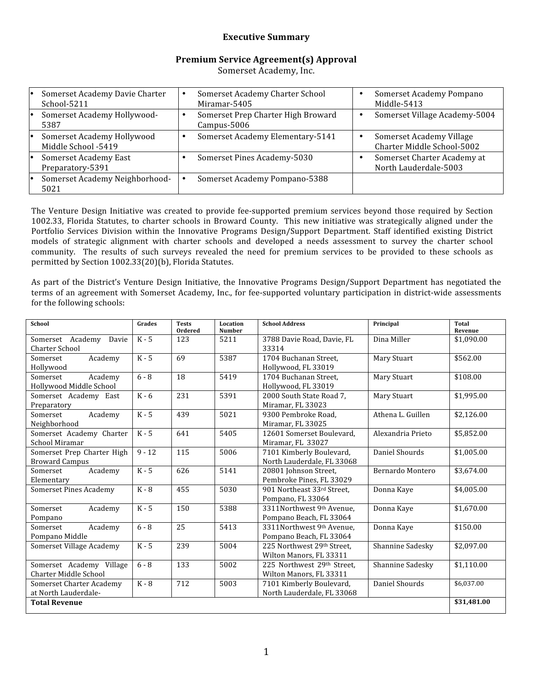#### **Executive Summary**

#### **Premium Service Agreement(s) Approval**

Somerset Academy, Inc.

| Somerset Academy Davie Charter<br>School-5211     | Somerset Academy Charter School<br>Miramar-5405   | Somerset Academy Pompano<br>Middle-5413                |
|---------------------------------------------------|---------------------------------------------------|--------------------------------------------------------|
| Somerset Academy Hollywood-<br>5387               | Somerset Prep Charter High Broward<br>Campus-5006 | Somerset Village Academy-5004                          |
| Somerset Academy Hollywood<br>Middle School -5419 | Somerset Academy Elementary-5141                  | Somerset Academy Village<br>Charter Middle School-5002 |
| Somerset Academy East<br>Preparatory-5391         | Somerset Pines Academy-5030                       | Somerset Charter Academy at<br>North Lauderdale-5003   |
| Somerset Academy Neighborhood-<br>5021            | Somerset Academy Pompano-5388                     |                                                        |

The Venture Design Initiative was created to provide fee-supported premium services beyond those required by Section 1002.33, Florida Statutes, to charter schools in Broward County. This new initiative was strategically aligned under the Portfolio Services Division within the Innovative Programs Design/Support Department. Staff identified existing District models of strategic alignment with charter schools and developed a needs assessment to survey the charter school community. The results of such surveys revealed the need for premium services to be provided to these schools as permitted by Section 1002.33(20)(b), Florida Statutes.

As part of the District's Venture Design Initiative, the Innovative Programs Design/Support Department has negotiated the terms of an agreement with Somerset Academy, Inc., for fee-supported voluntary participation in district-wide assessments for the following schools:

| <b>School</b>                 | Grades   | <b>Tests</b><br><b>Ordered</b> | Location<br><b>Number</b> | <b>School Address</b>      | Principal         | Total<br>Revenue |
|-------------------------------|----------|--------------------------------|---------------------------|----------------------------|-------------------|------------------|
| Somerset Academy<br>Davie     | $K - 5$  | 123                            | 5211                      | 3788 Davie Road, Davie, FL | Dina Miller       | \$1,090.00       |
| <b>Charter School</b>         |          |                                |                           | 33314                      |                   |                  |
| Academy<br>Somerset           | $K - 5$  | 69                             | 5387                      | 1704 Buchanan Street.      | Mary Stuart       | \$562.00         |
| Hollywood                     |          |                                |                           | Hollywood, FL 33019        |                   |                  |
| Academy<br>Somerset           | $6 - 8$  | 18                             | 5419                      | 1704 Buchanan Street,      | Mary Stuart       | \$108.00         |
| Hollywood Middle School       |          |                                |                           | Hollywood, FL 33019        |                   |                  |
| Somerset Academy East         | $K - 6$  | 231                            | 5391                      | 2000 South State Road 7,   | Mary Stuart       | \$1,995.00       |
| Preparatory                   |          |                                |                           | Miramar, FL 33023          |                   |                  |
| Academy<br>Somerset           | $K - 5$  | 439                            | 5021                      | 9300 Pembroke Road.        | Athena L. Guillen | \$2,126.00       |
| Neighborhood                  |          |                                |                           | Miramar, FL 33025          |                   |                  |
| Somerset Academy Charter      | $K - 5$  | 641                            | 5405                      | 12601 Somerset Boulevard.  | Alexandria Prieto | \$5,852.00       |
| School Miramar                |          |                                |                           | Miramar, FL 33027          |                   |                  |
| Somerset Prep Charter High    | $9 - 12$ | 115                            | 5006                      | 7101 Kimberly Boulevard,   | Daniel Shourds    | \$1,005.00       |
| <b>Broward Campus</b>         |          |                                |                           | North Lauderdale, FL 33068 |                   |                  |
| Somerset<br>Academy           | $K - 5$  | 626                            | 5141                      | 20801 Johnson Street,      | Bernardo Montero  | \$3,674.00       |
| Elementary                    |          |                                |                           | Pembroke Pines, FL 33029   |                   |                  |
| <b>Somerset Pines Academy</b> | $K - 8$  | 455                            | 5030                      | 901 Northeast 33rd Street. | Donna Kaye        | \$4,005.00       |
|                               |          |                                |                           | Pompano, FL 33064          |                   |                  |
| Somerset<br>Academy           | $K - 5$  | 150                            | 5388                      | 3311Northwest 9th Avenue.  | Donna Kaye        | \$1,670.00       |
| Pompano                       |          |                                |                           | Pompano Beach, FL 33064    |                   |                  |
| Academy<br>Somerset           | $6 - 8$  | 25                             | 5413                      | 3311Northwest 9th Avenue.  | Donna Kaye        | \$150.00         |
| Pompano Middle                |          |                                |                           | Pompano Beach, FL 33064    |                   |                  |
| Somerset Village Academy      | $K - 5$  | 239                            | 5004                      | 225 Northwest 29th Street. | Shannine Sadesky  | \$2.097.00       |
|                               |          |                                |                           | Wilton Manors, FL 33311    |                   |                  |
| Somerset Academy Village      | $6 - 8$  | 133                            | 5002                      | 225 Northwest 29th Street. | Shannine Sadesky  | \$1,110.00       |
| <b>Charter Middle School</b>  |          |                                |                           | Wilton Manors, FL 33311    |                   |                  |
| Somerset Charter Academy      | $K - 8$  | 712                            | 5003                      | 7101 Kimberly Boulevard,   | Daniel Shourds    | \$6,037.00       |
| at North Lauderdale-          |          |                                |                           | North Lauderdale, FL 33068 |                   |                  |
| <b>Total Revenue</b>          |          |                                |                           |                            |                   | \$31,481.00      |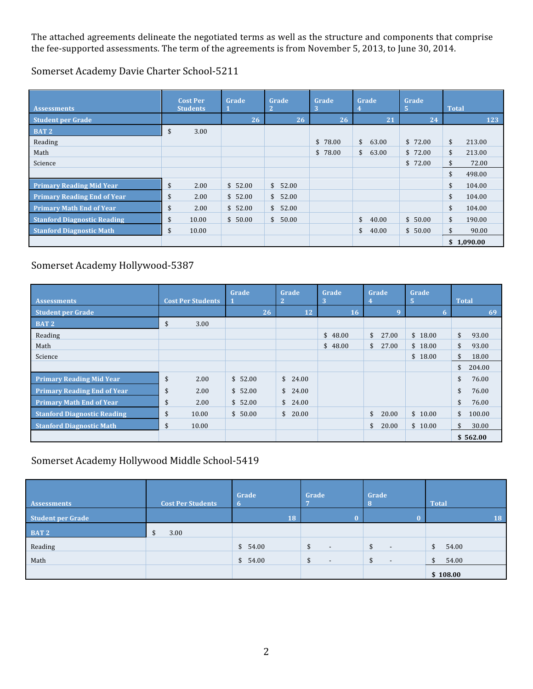The attached agreements delineate the negotiated terms as well as the structure and components that comprise the fee‐supported assessments. The term of the agreements is from November 5, 2013, to June 30, 2014.

Somerset Academy Davie Charter School‐5211

| <b>Assessments</b>                 | <b>Cost Per</b><br><b>Students</b> | Grade   | Grade   | Grade<br>3 | Grade           | Grade<br>5 | <b>Total</b> |            |
|------------------------------------|------------------------------------|---------|---------|------------|-----------------|------------|--------------|------------|
| <b>Student per Grade</b>           |                                    | 26      | 26      | 26         | $\overline{21}$ | 24         |              | 123        |
| <b>BAT2</b>                        | \$<br>3.00                         |         |         |            |                 |            |              |            |
| Reading                            |                                    |         |         | \$78.00    | \$<br>63.00     | \$72.00    | \$           | 213.00     |
| Math                               |                                    |         |         | \$78.00    | \$<br>63.00     | \$72.00    | $\sqrt{2}$   | 213.00     |
| Science                            |                                    |         |         |            |                 | \$72.00    | \$           | 72.00      |
|                                    |                                    |         |         |            |                 |            | \$           | 498.00     |
| <b>Primary Reading Mid Year</b>    | \$<br>2.00                         | \$52.00 | \$52.00 |            |                 |            | \$           | 104.00     |
| <b>Primary Reading End of Year</b> | \$<br>2.00                         | \$52.00 | \$52.00 |            |                 |            | \$           | 104.00     |
| <b>Primary Math End of Year</b>    | \$<br>2.00                         | \$52.00 | \$52.00 |            |                 |            | \$           | 104.00     |
| <b>Stanford Diagnostic Reading</b> | \$<br>10.00                        | \$50.00 | \$50.00 |            | \$<br>40.00     | \$50.00    | \$           | 190.00     |
| <b>Stanford Diagnostic Math</b>    | \$<br>10.00                        |         |         |            | \$<br>40.00     | \$50.00    | \$           | 90.00      |
|                                    |                                    |         |         |            |                 |            |              | \$1,090.00 |

#### Somerset Academy Hollywood‐5387

| <b>Assessments</b>                 | <b>Cost Per Students</b> | Grade   | Grade                  | Grade<br>З | Grade                 | Grade<br>Ι5. | <b>Total</b> |
|------------------------------------|--------------------------|---------|------------------------|------------|-----------------------|--------------|--------------|
| <b>Student per Grade</b>           |                          | 26      | 12                     | 16         | 9                     | 6            | 69           |
| <b>BAT2</b>                        | \$<br>3.00               |         |                        |            |                       |              |              |
| Reading                            |                          |         |                        | \$48.00    | \$<br>27.00           | \$18.00      | \$<br>93.00  |
| Math                               |                          |         |                        | \$48.00    | $\mathbb{S}$<br>27.00 | \$18.00      | \$<br>93.00  |
| Science                            |                          |         |                        |            |                       | \$18.00      | \$<br>18.00  |
|                                    |                          |         |                        |            |                       |              | \$<br>204.00 |
| <b>Primary Reading Mid Year</b>    | \$<br>2.00               | \$52.00 | \$24.00                |            |                       |              | \$<br>76.00  |
| <b>Primary Reading End of Year</b> | \$<br>2.00               | \$52.00 | $\mathsf{\$}$<br>24.00 |            |                       |              | 76.00<br>\$  |
| <b>Primary Math End of Year</b>    | \$<br>2.00               | \$52.00 | \$24.00                |            |                       |              | \$<br>76.00  |
| <b>Stanford Diagnostic Reading</b> | \$<br>10.00              | \$50.00 | \$20.00                |            | \$<br>20.00           | \$10.00      | \$<br>100.00 |
| <b>Stanford Diagnostic Math</b>    | \$<br>10.00              |         |                        |            | 20.00<br>\$           | \$10.00      | \$<br>30.00  |
|                                    |                          |         |                        |            |                       |              | \$562.00     |

#### Somerset Academy Hollywood Middle School‐5419

| Assessments              | <b>Cost Per Students</b> | Grade   | Grade                    | Grade                          | <b>Total</b> |
|--------------------------|--------------------------|---------|--------------------------|--------------------------------|--------------|
| <b>Student per Grade</b> |                          | 18      |                          |                                | 18           |
| BAT 2                    | 3.00<br>D                |         |                          |                                |              |
| Reading                  |                          | \$54.00 | $\overline{\phantom{a}}$ | $\overline{\phantom{a}}$       | 54.00<br>\$  |
| Math                     |                          | \$54.00 | $\overline{\phantom{a}}$ | \$<br>$\overline{\phantom{0}}$ | 54.00<br>\$  |
|                          |                          |         |                          |                                | \$108.00     |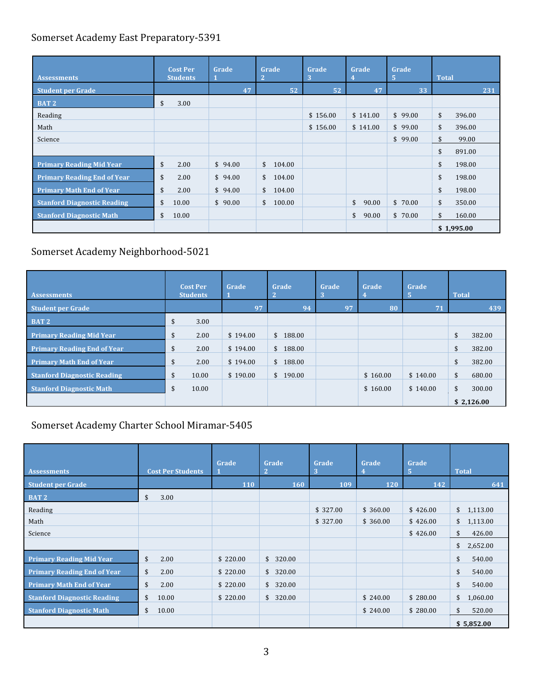## Somerset Academy East Preparatory‐5391

| <b>Assessments</b>                 | <b>Cost Per</b><br><b>Students</b> | Grade   | Grade<br>$\overline{2}$ | Grade<br>3 | Grade<br>4  | Grade<br>5. | <b>Total</b> |
|------------------------------------|------------------------------------|---------|-------------------------|------------|-------------|-------------|--------------|
| <b>Student per Grade</b>           |                                    | 47      | 52                      | 52         | 47          | 33          | 231          |
| <b>BAT2</b>                        | \$<br>3.00                         |         |                         |            |             |             |              |
| Reading                            |                                    |         |                         | \$156.00   | \$141.00    | \$99.00     | \$<br>396.00 |
| Math                               |                                    |         |                         | \$156.00   | \$141.00    | \$99.00     | \$<br>396.00 |
| Science                            |                                    |         |                         |            |             | \$99.00     | 99.00<br>\$  |
|                                    |                                    |         |                         |            |             |             | \$<br>891.00 |
| <b>Primary Reading Mid Year</b>    | \$<br>2.00                         | \$94.00 | \$<br>104.00            |            |             |             | \$<br>198.00 |
| <b>Primary Reading End of Year</b> | \$<br>2.00                         | \$94.00 | \$<br>104.00            |            |             |             | \$<br>198.00 |
| <b>Primary Math End of Year</b>    | \$<br>2.00                         | \$94.00 | 104.00<br>\$            |            |             |             | \$<br>198.00 |
| <b>Stanford Diagnostic Reading</b> | \$<br>10.00                        | \$90.00 | \$<br>100.00            |            | \$<br>90.00 | \$70.00     | \$<br>350.00 |
| <b>Stanford Diagnostic Math</b>    | \$<br>10.00                        |         |                         |            | \$<br>90.00 | \$70.00     | \$<br>160.00 |
|                                    |                                    |         |                         |            |             |             | \$1,995.00   |

# Somerset Academy Neighborhood‐5021

| <b>Assessments</b>                 | <b>Cost Per</b><br><b>Students</b> | Grade    | Grade<br>2 | Grade | Grade    | Grade<br>ь      | <b>Total</b> |
|------------------------------------|------------------------------------|----------|------------|-------|----------|-----------------|--------------|
| <b>Student per Grade</b>           |                                    | 97       | 94         | 97    | 80       | $\overline{71}$ | 439          |
| BAT 2                              | \$<br>3.00                         |          |            |       |          |                 |              |
| <b>Primary Reading Mid Year</b>    | 2.00<br>\$                         | \$194.00 | \$188.00   |       |          |                 | \$<br>382.00 |
| <b>Primary Reading End of Year</b> | \$<br>2.00                         | \$194.00 | \$188.00   |       |          |                 | \$<br>382.00 |
| <b>Primary Math End of Year</b>    | 2.00<br>\$                         | \$194.00 | \$188.00   |       |          |                 | \$<br>382.00 |
| <b>Stanford Diagnostic Reading</b> | \$<br>10.00                        | \$190.00 | \$190.00   |       | \$160.00 | \$140.00        | \$<br>680.00 |
| <b>Stanford Diagnostic Math</b>    | \$<br>10.00                        |          |            |       | \$160.00 | \$140.00        | 300.00<br>\$ |
|                                    |                                    |          |            |       |          |                 | \$2,126.00   |

## Somerset Academy Charter School Miramar‐5405

| <b>Assessments</b>                 | <b>Cost Per Students</b> | Grade    | Grade<br>$\vert 2 \vert$ | Grade<br>3 | Grade    | Grade<br>5 | <b>Total</b>              |
|------------------------------------|--------------------------|----------|--------------------------|------------|----------|------------|---------------------------|
| <b>Student per Grade</b>           |                          | 110      | 160                      | 109        | 120      | 142        | 641                       |
| <b>BAT2</b>                        | \$<br>3.00               |          |                          |            |          |            |                           |
| Reading                            |                          |          |                          | \$327.00   | \$360.00 | \$426.00   | \$1,113.00                |
| Math                               |                          |          |                          | \$327.00   | \$360.00 | \$426.00   | 1,113.00<br>$\mathsf{\$}$ |
| Science                            |                          |          |                          |            |          | \$426.00   | \$<br>426.00              |
|                                    |                          |          |                          |            |          |            | \$<br>2,652.00            |
| <b>Primary Reading Mid Year</b>    | \$<br>2.00               | \$220.00 | \$<br>320.00             |            |          |            | \$<br>540.00              |
| <b>Primary Reading End of Year</b> | \$<br>2.00               | \$220.00 | \$320.00                 |            |          |            | \$<br>540.00              |
| <b>Primary Math End of Year</b>    | \$<br>2.00               | \$220.00 | 320.00<br>\$             |            |          |            | \$<br>540.00              |
| <b>Stanford Diagnostic Reading</b> | \$<br>10.00              | \$220.00 | 320.00<br>\$             |            | \$240.00 | \$280.00   | \$<br>1,060.00            |
| <b>Stanford Diagnostic Math</b>    | \$<br>10.00              |          |                          |            | \$240.00 | \$280.00   | \$<br>520.00              |
|                                    |                          |          |                          |            |          |            | \$5,852.00                |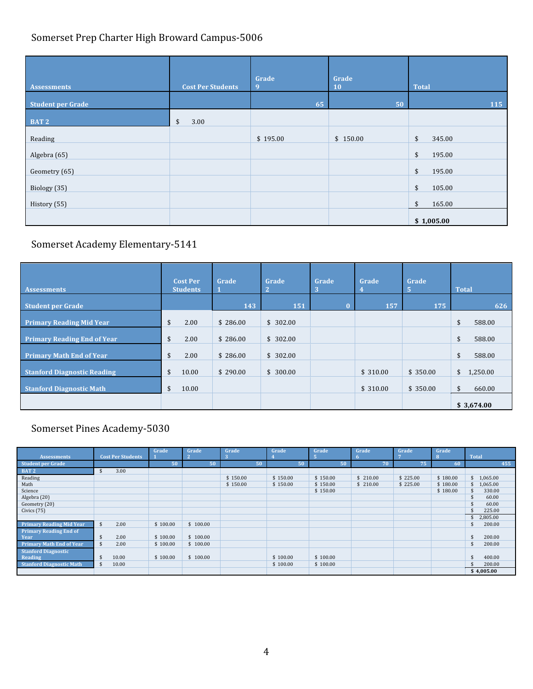# Somerset Prep Charter High Broward Campus‐5006

| <b>Assessments</b>       | <b>Cost Per Students</b> | Grade<br>9 | Grade<br>10 | <b>Total</b> |
|--------------------------|--------------------------|------------|-------------|--------------|
| <b>Student per Grade</b> |                          | 65         | 50          | 115          |
| BAT <sub>2</sub>         | \$<br>3.00               |            |             |              |
| Reading                  |                          | \$195.00   | \$150.00    | \$<br>345.00 |
| Algebra (65)             |                          |            |             | \$<br>195.00 |
| Geometry (65)            |                          |            |             | \$<br>195.00 |
| Biology (35)             |                          |            |             | \$<br>105.00 |
| History (55)             |                          |            |             | \$<br>165.00 |
|                          |                          |            |             | \$1,005.00   |

# Somerset Academy Elementary‐5141

| <b>Assessments</b>                 | <b>Cost Per</b><br><b>Students</b> | Grade    | Grade    | Grade    | Grade    | Grade    | <b>Total</b>   |
|------------------------------------|------------------------------------|----------|----------|----------|----------|----------|----------------|
| <b>Student per Grade</b>           |                                    | 143      | 151      | $\Omega$ | 157      | 175      | 626            |
| <b>Primary Reading Mid Year</b>    | \$<br>2.00                         | \$286.00 | \$302.00 |          |          |          | \$<br>588.00   |
| <b>Primary Reading End of Year</b> | 2.00<br>\$                         | \$286.00 | \$302.00 |          |          |          | \$<br>588.00   |
| <b>Primary Math End of Year</b>    | \$<br>2.00                         | \$286.00 | \$302.00 |          |          |          | \$<br>588.00   |
| <b>Stanford Diagnostic Reading</b> | \$<br>10.00                        | \$290.00 | \$300.00 |          | \$310.00 | \$350.00 | \$<br>1,250.00 |
| <b>Stanford Diagnostic Math</b>    | \$<br>10.00                        |          |          |          | \$310.00 | \$350.00 | \$<br>660.00   |
|                                    |                                    |          |          |          |          |          | \$3,674.00     |

# Somerset Pines Academy‐5030

|                                 |                            | Grade    | Grade    | Grade    | Grade    | Grade    | Grade    | Grade    | Grade    |              |
|---------------------------------|----------------------------|----------|----------|----------|----------|----------|----------|----------|----------|--------------|
| <b>Assessments</b>              | <b>Cost Per Students</b>   |          |          |          |          |          |          |          |          | <b>Total</b> |
| <b>Student per Grade</b>        |                            | 50       | 50       | 50       | 50       | 50       | 70       | 75       | 60       | 455          |
| <b>BAT 2</b>                    | 3.00<br>\$                 |          |          |          |          |          |          |          |          |              |
| Reading                         |                            |          |          | \$150.00 | \$150.00 | \$150.00 | \$210.00 | \$225.00 | \$180.00 | 1,065.00     |
| Math                            |                            |          |          | \$150.00 | \$150.00 | \$150.00 | \$210.00 | \$225.00 | \$180.00 | 1,065.00     |
| Science                         |                            |          |          |          |          | \$150.00 |          |          | \$180.00 | 330.00       |
| Algebra (20)                    |                            |          |          |          |          |          |          |          |          | 60.00        |
| Geometry (20)                   |                            |          |          |          |          |          |          |          |          | 60.00        |
| Civics $(75)$                   |                            |          |          |          |          |          |          |          |          | 225.00       |
|                                 |                            |          |          |          |          |          |          |          |          | 2,805.00     |
| <b>Primary Reading Mid Year</b> | $\mathbf{\hat{s}}$<br>2.00 | \$100.00 | \$100.00 |          |          |          |          |          |          | 200.00       |
| <b>Primary Reading End of</b>   |                            |          |          |          |          |          |          |          |          |              |
| Year                            | 2.00<br>\$                 | \$100.00 | \$100.00 |          |          |          |          |          |          | 200.00       |
| <b>Primary Math End of Year</b> | \$<br>2.00                 | \$100.00 | \$100.00 |          |          |          |          |          |          | 200.00<br>\$ |
| <b>Stanford Diagnostic</b>      |                            |          |          |          |          |          |          |          |          |              |
| Reading                         | 10.00<br>-S                | \$100.00 | \$100.00 |          | \$100.00 | \$100.00 |          |          |          | 400.00       |
| <b>Stanford Diagnostic Math</b> | $\mathfrak{L}$<br>10.00    |          |          |          | \$100.00 | \$100.00 |          |          |          | 200.00       |
|                                 |                            |          |          |          |          |          |          |          |          | \$4,005.00   |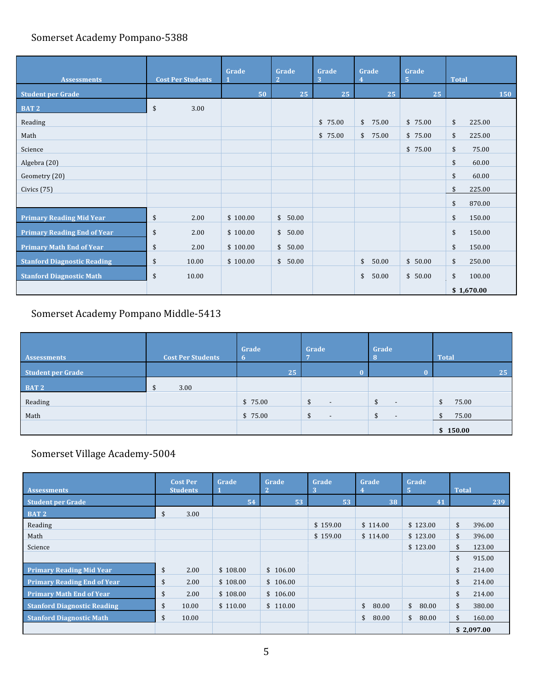## Somerset Academy Pompano‐5388

| <b>Assessments</b>                 | <b>Cost Per Students</b> | Grade    | Grade<br>$\overline{2}$ | Grade<br>3 | Grade       | Grade<br>$\sqrt{5}$ | <b>Total</b>             |
|------------------------------------|--------------------------|----------|-------------------------|------------|-------------|---------------------|--------------------------|
| <b>Student per Grade</b>           |                          | 50       | 25                      | 25         | 25          | 25                  | 150                      |
| BAT <sub>2</sub><br>L              | \$<br>3.00               |          |                         |            |             |                     |                          |
| Reading                            |                          |          |                         | \$75.00    | \$<br>75.00 | \$75.00             | \$<br>225.00             |
| Math                               |                          |          |                         | \$75.00    | \$<br>75.00 | \$75.00             | $\mathfrak{s}$<br>225.00 |
| Science                            |                          |          |                         |            |             | \$75.00             | \$<br>75.00              |
| Algebra (20)                       |                          |          |                         |            |             |                     | 60.00<br>\$              |
| Geometry (20)                      |                          |          |                         |            |             |                     | 60.00<br>\$              |
| Civics (75)                        |                          |          |                         |            |             |                     | 225.00<br>\$             |
|                                    |                          |          |                         |            |             |                     | \$<br>870.00             |
| <b>Primary Reading Mid Year</b>    | \$<br>2.00               | \$100.00 | $\mathsf{\$}$<br>50.00  |            |             |                     | \$<br>150.00             |
| <b>Primary Reading End of Year</b> | \$<br>2.00               | \$100.00 | $\frac{1}{2}$<br>50.00  |            |             |                     | \$<br>150.00             |
| <b>Primary Math End of Year</b>    | \$<br>2.00               | \$100.00 | \$<br>50.00             |            |             |                     | \$<br>150.00             |
| <b>Stanford Diagnostic Reading</b> | \$<br>10.00              | \$100.00 | \$<br>50.00             |            | \$<br>50.00 | \$50.00             | \$<br>250.00             |
| <b>Stanford Diagnostic Math</b>    | \$<br>10.00              |          |                         |            | \$<br>50.00 | \$50.00             | \$<br>100.00             |
|                                    |                          |          |                         |            |             |                     | \$1,670.00               |

# Somerset Academy Pompano Middle‐5413

| Assessments              | <b>Cost Per Students</b> | Grade<br>$\mathbf{b}$ | Grade<br>ъ,              | Grade<br>-8              | <b>Total</b> |
|--------------------------|--------------------------|-----------------------|--------------------------|--------------------------|--------------|
| <b>Student per Grade</b> |                          | 25                    |                          |                          | 25           |
| BAT <sub>2</sub>         | 3.00<br>Ъ                |                       |                          |                          |              |
| Reading                  |                          | \$75.00               | $\overline{\phantom{0}}$ | $-$                      | 75.00<br>\$  |
| Math                     |                          | \$75.00               | $\overline{\phantom{0}}$ | $\overline{\phantom{0}}$ | 75.00        |
|                          |                          |                       |                          |                          | \$150.00     |

# Somerset Village Academy‐5004

| <b>Assessments</b>                 | <b>Cost Per</b><br><b>Students</b> |       | Grade    | Grade<br>$\overline{2}$ | Grade<br>3 | Grade       | Grade<br>5  | <b>Total</b> |            |
|------------------------------------|------------------------------------|-------|----------|-------------------------|------------|-------------|-------------|--------------|------------|
| <b>Student per Grade</b>           |                                    |       | 54       | 53                      | 53         | 38          | 41          |              | 239        |
| <b>BAT2</b>                        | \$                                 | 3.00  |          |                         |            |             |             |              |            |
| Reading                            |                                    |       |          |                         | \$159.00   | \$114.00    | \$123.00    | \$           | 396.00     |
| Math                               |                                    |       |          |                         | \$159.00   | \$114.00    | \$123.00    | \$           | 396.00     |
| Science                            |                                    |       |          |                         |            |             | \$123.00    | \$           | 123.00     |
|                                    |                                    |       |          |                         |            |             |             | \$           | 915.00     |
| <b>Primary Reading Mid Year</b>    | \$                                 | 2.00  | \$108.00 | \$106.00                |            |             |             | \$           | 214.00     |
| <b>Primary Reading End of Year</b> | \$                                 | 2.00  | \$108.00 | \$106.00                |            |             |             | \$           | 214.00     |
| <b>Primary Math End of Year</b>    | \$                                 | 2.00  | \$108.00 | \$106.00                |            |             |             | \$           | 214.00     |
| <b>Stanford Diagnostic Reading</b> | \$                                 | 10.00 | \$110.00 | \$110.00                |            | \$<br>80.00 | \$<br>80.00 | \$           | 380.00     |
| <b>Stanford Diagnostic Math</b>    | \$                                 | 10.00 |          |                         |            | \$<br>80.00 | \$<br>80.00 | \$           | 160.00     |
|                                    |                                    |       |          |                         |            |             |             |              | \$2,097.00 |